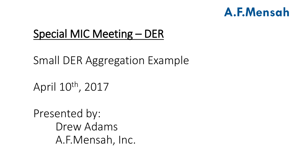## Special MIC Meeting – DER

Small DER Aggregation Example

April 10th, 2017

Presented by: Drew Adams A.F.Mensah, Inc.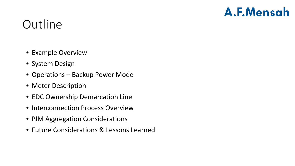# **Outline**

- Example Overview
- System Design
- Operations Backup Power Mode
- Meter Description
- EDC Ownership Demarcation Line
- Interconnection Process Overview
- PJM Aggregation Considerations
- Future Considerations & Lessons Learned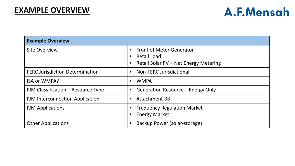| <b>Example Overview</b>                |                                                                                                             |
|----------------------------------------|-------------------------------------------------------------------------------------------------------------|
| <b>Site Overview</b>                   | <b>Front of Meter Generator</b><br><b>Retail Load</b><br>$\bullet$<br>Retail Solar PV - Net Energy Metering |
| <b>FERC Jurisdiction Determination</b> | Non-FERC Jurisdictional                                                                                     |
| <b>ISA or WMPA?</b>                    | <b>WMPA</b>                                                                                                 |
| PJM Classification – Resource Type     | Generation Resource - Energy Only                                                                           |
| <b>PJM Interconnection Application</b> | <b>Attachment BB</b><br>$\bullet$                                                                           |
| <b>PJM Applications</b>                | <b>Frequency Regulation Market</b><br><b>Energy Market</b>                                                  |
| <b>Other Applications</b>              | Backup Power (solar-storage)                                                                                |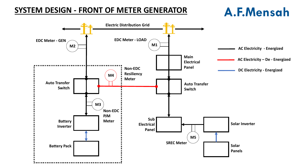#### **SYSTEM DESIGN - FRONT OF METER GENERATOR**

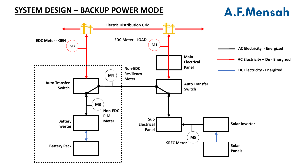#### **SYSTEM DESIGN – BACKUP POWER MODE**

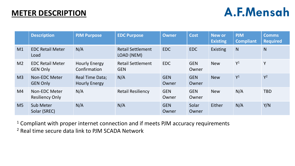#### **METER DESCRIPTION**

## A.F.Mensah

|                | <b>Description</b>                         | <b>PJM Purpose</b>                      | <b>EDC Purpose</b>                     | Owner               | <b>Cost</b>         | <b>New or</b><br><b>Existing</b> | <b>PJM</b><br><b>Compliant</b> | <b>Comms</b><br><b>Required</b> |
|----------------|--------------------------------------------|-----------------------------------------|----------------------------------------|---------------------|---------------------|----------------------------------|--------------------------------|---------------------------------|
| M1             | <b>EDC Retail Meter</b><br>Load            | N/A                                     | <b>Retail Settlement</b><br>LOAD (NEM) | <b>EDC</b>          | <b>EDC</b>          | <b>Existing</b>                  | N                              | N                               |
| M <sub>2</sub> | <b>EDC Retail Meter</b><br><b>GEN Only</b> | <b>Hourly Energy</b><br>Confirmation    | <b>Retail Settlement</b><br><b>GEN</b> | <b>EDC</b>          | <b>GEN</b><br>Owner | <b>New</b>                       | $Y^1$                          | Y                               |
| M <sub>3</sub> | <b>Non-EDC Meter</b><br><b>GEN Only</b>    | Real Time Data;<br><b>Hourly Energy</b> | N/A                                    | <b>GEN</b><br>Owner | <b>GEN</b><br>Owner | <b>New</b>                       | $Y^1$                          | $Y^2$                           |
| M4             | Non-EDC Meter<br><b>Resiliency Only</b>    | N/A                                     | <b>Retail Resiliency</b>               | <b>GEN</b><br>Owner | <b>GEN</b><br>Owner | <b>New</b>                       | N/A                            | <b>TBD</b>                      |
| M <sub>5</sub> | <b>Sub Meter</b><br>Solar (SREC)           | N/A                                     | N/A                                    | <b>GEN</b><br>Owner | Solar<br>Owner      | Either                           | N/A                            | Y/N                             |

<sup>1</sup> Compliant with proper internet connection and if meets PJM accuracy requirements <sup>2</sup> Real time secure data link to PJM SCADA Network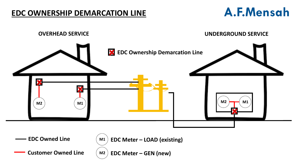#### **EDC OWNERSHIP DEMARCATION LINE**

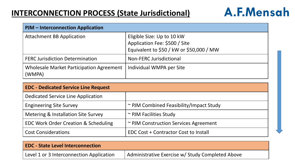#### **INTERCONNECTION PROCESS (State Jurisdictional)**

| PJM - Interconnection Application                         |                                                                                                         |
|-----------------------------------------------------------|---------------------------------------------------------------------------------------------------------|
| <b>Attachment BB Application</b>                          | Eligible Size: Up to 10 kW<br>Application Fee: \$500 / Site<br>Equivalent to \$50 / kW or \$50,000 / MW |
| <b>FERC Jurisdiction Determination</b>                    | <b>Non-FERC Jurisdictional</b>                                                                          |
| <b>Wholesale Market Participation Agreement</b><br>(WMPA) | Individual WMPA per Site                                                                                |

| <b>EDC - Dedicated Service Line Request</b>     |                                         |
|-------------------------------------------------|-----------------------------------------|
| Dedicated Service Line Application              |                                         |
| <b>Engineering Site Survey</b>                  | ~ PJM Combined Feasibility/Impact Study |
| Metering & Installation Site Survey             | ~ PJM Facilities Study                  |
| <b>EDC Work Order Creation &amp; Scheduling</b> | ~ PJM Construction Services Agreement   |
| <b>Cost Considerations</b>                      | EDC Cost + Contractor Cost to Install   |

| <b>EDC - State Level Interconnection</b> |                                                  |
|------------------------------------------|--------------------------------------------------|
| Level 1 or 3 Interconnection Application | Administrative Exercise w/ Study Completed Above |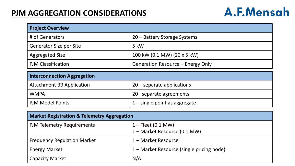#### **PJM AGGREGATION CONSIDERATIONS**

| <b>Project Overview</b>            |                                   |  |
|------------------------------------|-----------------------------------|--|
| # of Generators                    | 20 - Battery Storage Systems      |  |
| <b>Generator Size per Site</b>     | 5 kW                              |  |
| <b>Aggregated Size</b>             | 100 kW (0.1 MW) (20 x 5 kW)       |  |
| <b>PJM Classification</b>          | Generation Resource – Energy Only |  |
| <b>Interconnection Aggregation</b> |                                   |  |
| <b>Attachment BB Application</b>   | $20$ – separate applications      |  |
| <b>WMPA</b>                        | 20– separate agreements           |  |
| <b>PJM Model Points</b>            | $1$ – single point as aggregate   |  |

| <b>Market Registration &amp; Telemetry Aggregation</b> |                                                      |  |
|--------------------------------------------------------|------------------------------------------------------|--|
| <b>PJM Telemetry Requirements</b>                      | $1 -$ Fleet (0.1 MW)<br>1 – Market Resource (0.1 MW) |  |
| <b>Frequency Regulation Market</b>                     | 1 – Market Resource                                  |  |
| <b>Energy Market</b>                                   | 1 – Market Resource (single pricing node)            |  |
| <b>Capacity Market</b>                                 | N/A                                                  |  |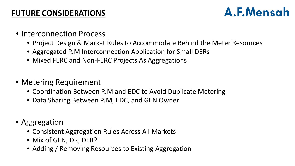#### **FUTURE CONSIDERATIONS**

- Interconnection Process
	- Project Design & Market Rules to Accommodate Behind the Meter Resources
	- Aggregated PJM Interconnection Application for Small DERs
	- Mixed FERC and Non-FERC Projects As Aggregations
- Metering Requirement
	- Coordination Between PJM and EDC to Avoid Duplicate Metering
	- Data Sharing Between PJM, EDC, and GEN Owner
- Aggregation
	- Consistent Aggregation Rules Across All Markets
	- Mix of GEN, DR, DER?
	- Adding / Removing Resources to Existing Aggregation